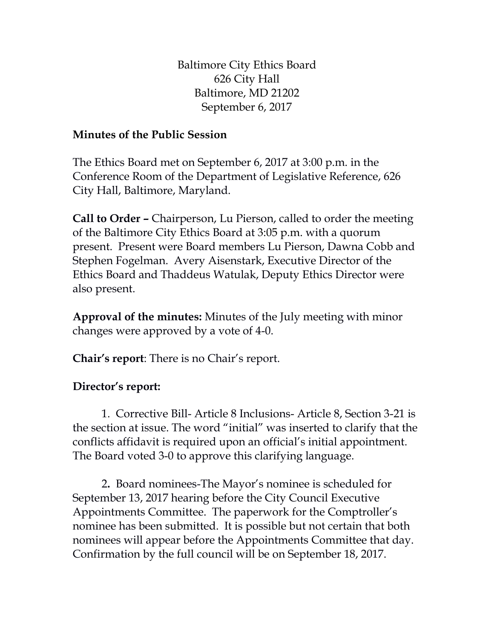Baltimore City Ethics Board 626 City Hall Baltimore, MD 21202 September 6, 2017

## **Minutes of the Public Session**

The Ethics Board met on September 6, 2017 at 3:00 p.m. in the Conference Room of the Department of Legislative Reference, 626 City Hall, Baltimore, Maryland.

**Call to Order –** Chairperson, Lu Pierson, called to order the meeting of the Baltimore City Ethics Board at 3:05 p.m. with a quorum present. Present were Board members Lu Pierson, Dawna Cobb and Stephen Fogelman. Avery Aisenstark, Executive Director of the Ethics Board and Thaddeus Watulak, Deputy Ethics Director were also present.

**Approval of the minutes:** Minutes of the July meeting with minor changes were approved by a vote of 4-0.

**Chair's report**: There is no Chair's report.

## **Director's report:**

1. Corrective Bill- Article 8 Inclusions- Article 8, Section 3-21 is the section at issue. The word "initial" was inserted to clarify that the conflicts affidavit is required upon an official's initial appointment. The Board voted 3-0 to approve this clarifying language.

2**.** Board nominees-The Mayor's nominee is scheduled for September 13, 2017 hearing before the City Council Executive Appointments Committee. The paperwork for the Comptroller's nominee has been submitted. It is possible but not certain that both nominees will appear before the Appointments Committee that day. Confirmation by the full council will be on September 18, 2017.